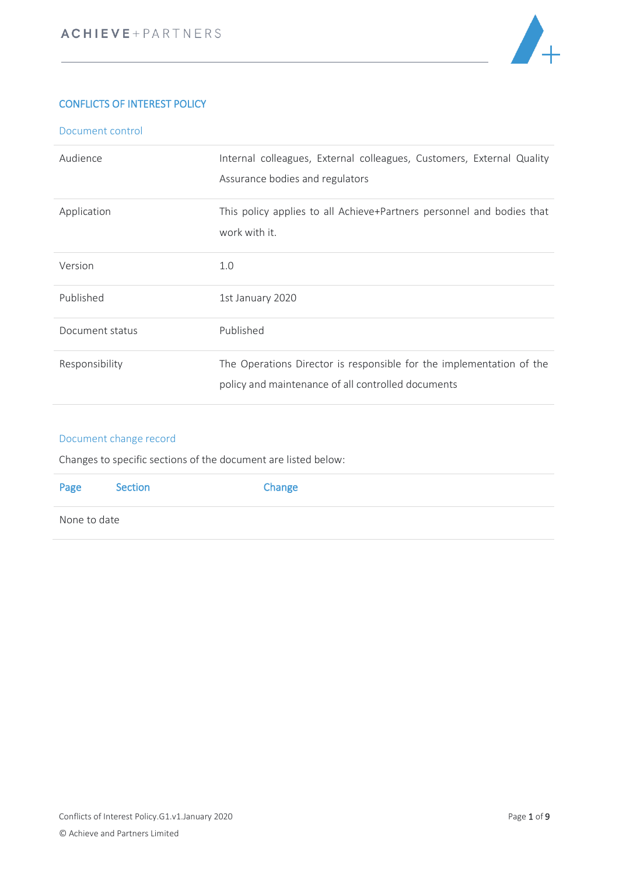

## CONFLICTS OF INTEREST POLICY

| Document control |  |
|------------------|--|
|                  |  |
|                  |  |

| Audience        | Internal colleagues, External colleagues, Customers, External Quality<br>Assurance bodies and regulators                   |
|-----------------|----------------------------------------------------------------------------------------------------------------------------|
| Application     | This policy applies to all Achieve+Partners personnel and bodies that<br>work with it.                                     |
| Version         | 1.0                                                                                                                        |
| Published       | 1st January 2020                                                                                                           |
| Document status | Published                                                                                                                  |
| Responsibility  | The Operations Director is responsible for the implementation of the<br>policy and maintenance of all controlled documents |

## Document change record

Changes to specific sections of the document are listed below:

| Page         | Section | Change |
|--------------|---------|--------|
| None to date |         |        |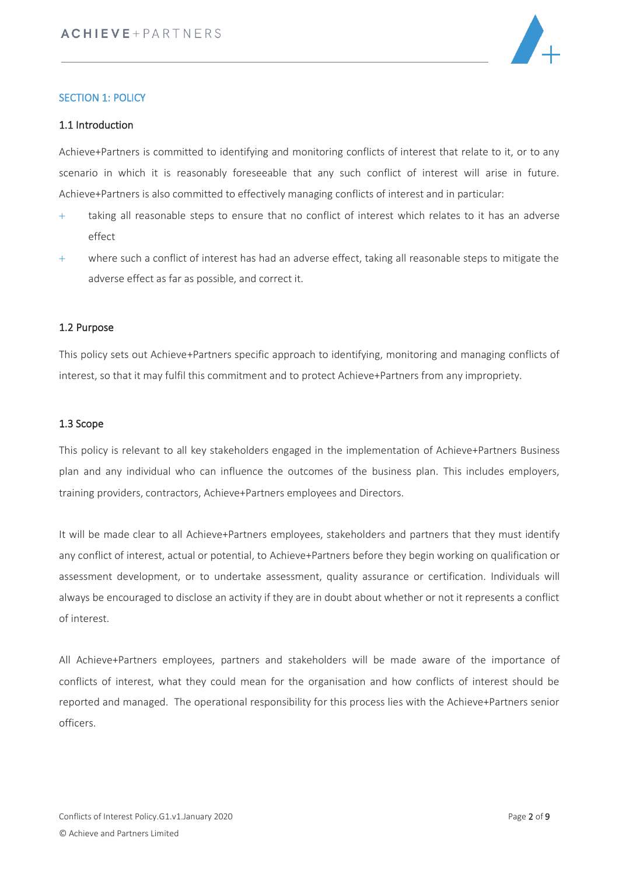

## SECTION 1: POLICY

#### 1.1 Introduction

Achieve+Partners is committed to identifying and monitoring conflicts of interest that relate to it, or to any scenario in which it is reasonably foreseeable that any such conflict of interest will arise in future. Achieve+Partners is also committed to effectively managing conflicts of interest and in particular:

- + taking all reasonable steps to ensure that no conflict of interest which relates to it has an adverse effect
- + where such a conflict of interest has had an adverse effect, taking all reasonable steps to mitigate the adverse effect as far as possible, and correct it.

#### 1.2 Purpose

This policy sets out Achieve+Partners specific approach to identifying, monitoring and managing conflicts of interest, so that it may fulfil this commitment and to protect Achieve+Partners from any impropriety.

#### 1.3 Scope

This policy is relevant to all key stakeholders engaged in the implementation of Achieve+Partners Business plan and any individual who can influence the outcomes of the business plan. This includes employers, training providers, contractors, Achieve+Partners employees and Directors.

It will be made clear to all Achieve+Partners employees, stakeholders and partners that they must identify any conflict of interest, actual or potential, to Achieve+Partners before they begin working on qualification or assessment development, or to undertake assessment, quality assurance or certification. Individuals will always be encouraged to disclose an activity if they are in doubt about whether or not it represents a conflict of interest.

All Achieve+Partners employees, partners and stakeholders will be made aware of the importance of conflicts of interest, what they could mean for the organisation and how conflicts of interest should be reported and managed. The operational responsibility for this process lies with the Achieve+Partners senior officers.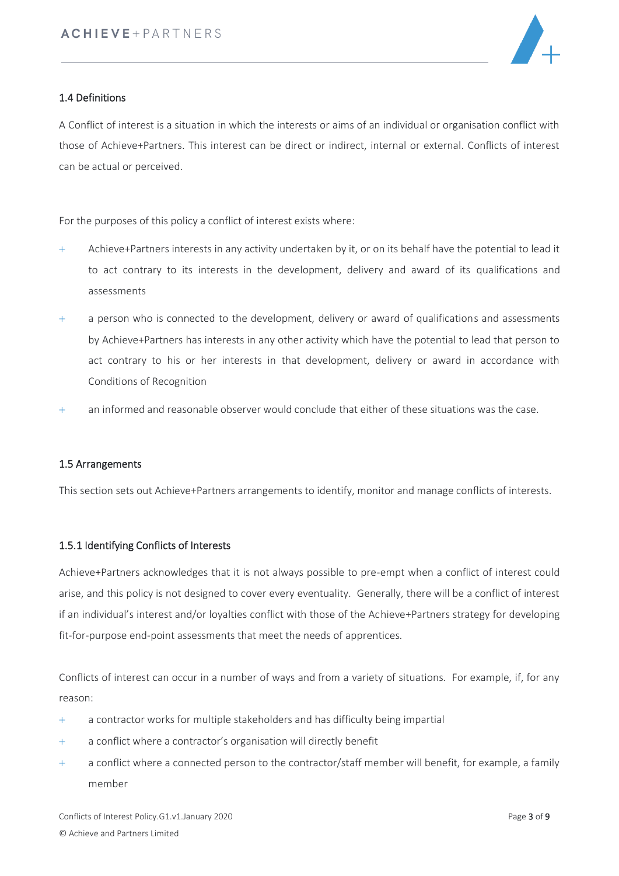

## 1.4 Definitions

A Conflict of interest is a situation in which the interests or aims of an individual or organisation conflict with those of Achieve+Partners. This interest can be direct or indirect, internal or external. Conflicts of interest can be actual or perceived.

For the purposes of this policy a conflict of interest exists where:

- + Achieve+Partners interests in any activity undertaken by it, or on its behalf have the potential to lead it to act contrary to its interests in the development, delivery and award of its qualifications and assessments
- + a person who is connected to the development, delivery or award of qualifications and assessments by Achieve+Partners has interests in any other activity which have the potential to lead that person to act contrary to his or her interests in that development, delivery or award in accordance with Conditions of Recognition
- + an informed and reasonable observer would conclude that either of these situations was the case.

### 1.5 Arrangements

This section sets out Achieve+Partners arrangements to identify, monitor and manage conflicts of interests.

### 1.5.1 Identifying Conflicts of Interests

Achieve+Partners acknowledges that it is not always possible to pre-empt when a conflict of interest could arise, and this policy is not designed to cover every eventuality. Generally, there will be a conflict of interest if an individual's interest and/or loyalties conflict with those of the Achieve+Partners strategy for developing fit-for-purpose end-point assessments that meet the needs of apprentices.

Conflicts of interest can occur in a number of ways and from a variety of situations. For example, if, for any reason:

- + a contractor works for multiple stakeholders and has difficulty being impartial
- + a conflict where a contractor's organisation will directly benefit
- + a conflict where a connected person to the contractor/staff member will benefit, for example, a family member

Conflicts of Interest Policy.G1.v1.January 2020 **Page 3 of 9** Page 3 of 9 © Achieve and Partners Limited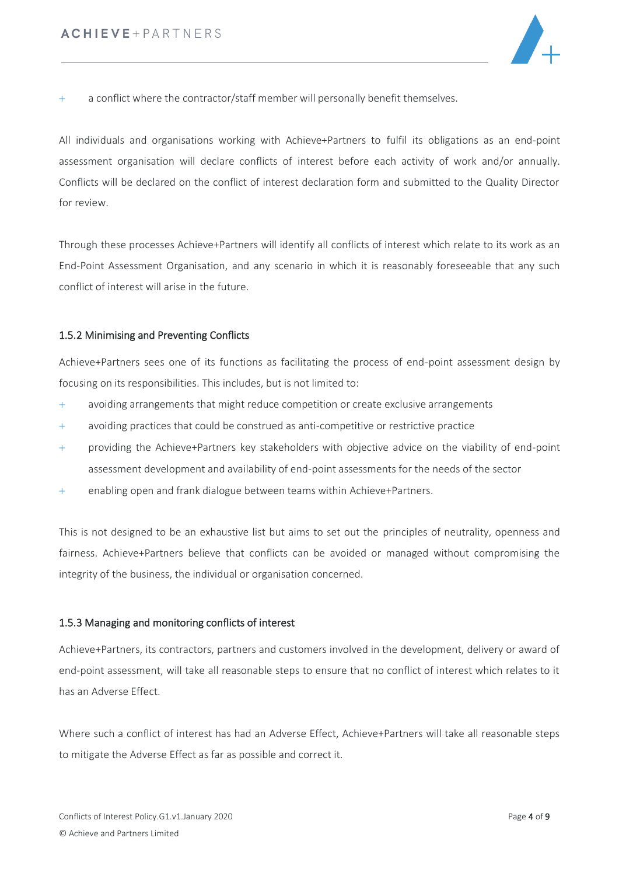

+ a conflict where the contractor/staff member will personally benefit themselves.

All individuals and organisations working with Achieve+Partners to fulfil its obligations as an end-point assessment organisation will declare conflicts of interest before each activity of work and/or annually. Conflicts will be declared on the conflict of interest declaration form and submitted to the Quality Director for review.

Through these processes Achieve+Partners will identify all conflicts of interest which relate to its work as an End-Point Assessment Organisation, and any scenario in which it is reasonably foreseeable that any such conflict of interest will arise in the future.

## 1.5.2 Minimising and Preventing Conflicts

Achieve+Partners sees one of its functions as facilitating the process of end-point assessment design by focusing on its responsibilities. This includes, but is not limited to:

- + avoiding arrangements that might reduce competition or create exclusive arrangements
- + avoiding practices that could be construed as anti-competitive or restrictive practice
- + providing the Achieve+Partners key stakeholders with objective advice on the viability of end-point assessment development and availability of end-point assessments for the needs of the sector
- + enabling open and frank dialogue between teams within Achieve+Partners.

This is not designed to be an exhaustive list but aims to set out the principles of neutrality, openness and fairness. Achieve+Partners believe that conflicts can be avoided or managed without compromising the integrity of the business, the individual or organisation concerned.

### 1.5.3 Managing and monitoring conflicts of interest

Achieve+Partners, its contractors, partners and customers involved in the development, delivery or award of end-point assessment, will take all reasonable steps to ensure that no conflict of interest which relates to it has an Adverse Effect.

Where such a conflict of interest has had an Adverse Effect, Achieve+Partners will take all reasonable steps to mitigate the Adverse Effect as far as possible and correct it.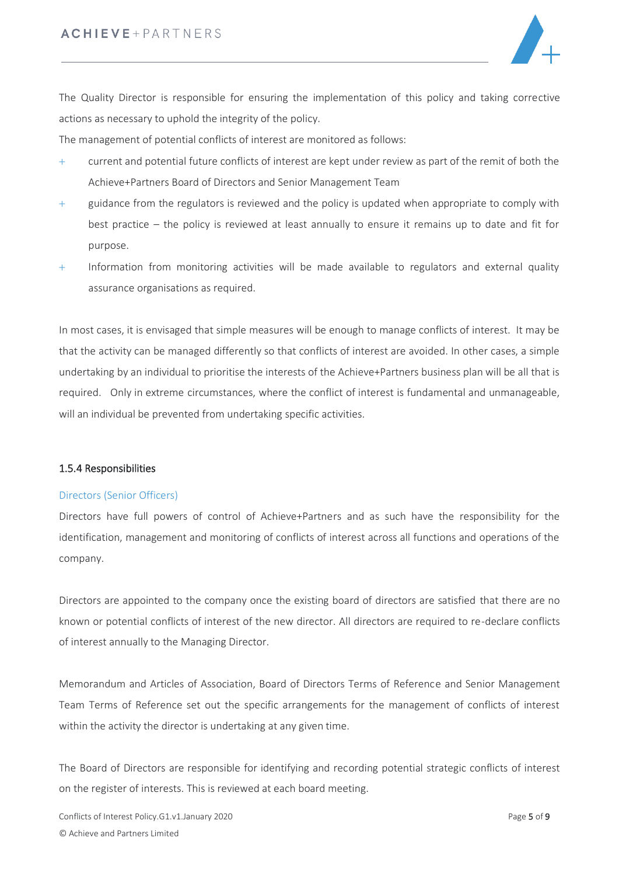

The Quality Director is responsible for ensuring the implementation of this policy and taking corrective actions as necessary to uphold the integrity of the policy.

The management of potential conflicts of interest are monitored as follows:

- + current and potential future conflicts of interest are kept under review as part of the remit of both the Achieve+Partners Board of Directors and Senior Management Team
- + guidance from the regulators is reviewed and the policy is updated when appropriate to comply with best practice – the policy is reviewed at least annually to ensure it remains up to date and fit for purpose.
- + Information from monitoring activities will be made available to regulators and external quality assurance organisations as required.

In most cases, it is envisaged that simple measures will be enough to manage conflicts of interest. It may be that the activity can be managed differently so that conflicts of interest are avoided. In other cases, a simple undertaking by an individual to prioritise the interests of the Achieve+Partners business plan will be all that is required. Only in extreme circumstances, where the conflict of interest is fundamental and unmanageable, will an individual be prevented from undertaking specific activities.

### 1.5.4 Responsibilities

### Directors (Senior Officers)

Directors have full powers of control of Achieve+Partners and as such have the responsibility for the identification, management and monitoring of conflicts of interest across all functions and operations of the company.

Directors are appointed to the company once the existing board of directors are satisfied that there are no known or potential conflicts of interest of the new director. All directors are required to re-declare conflicts of interest annually to the Managing Director.

Memorandum and Articles of Association, Board of Directors Terms of Reference and Senior Management Team Terms of Reference set out the specific arrangements for the management of conflicts of interest within the activity the director is undertaking at any given time.

The Board of Directors are responsible for identifying and recording potential strategic conflicts of interest on the register of interests. This is reviewed at each board meeting.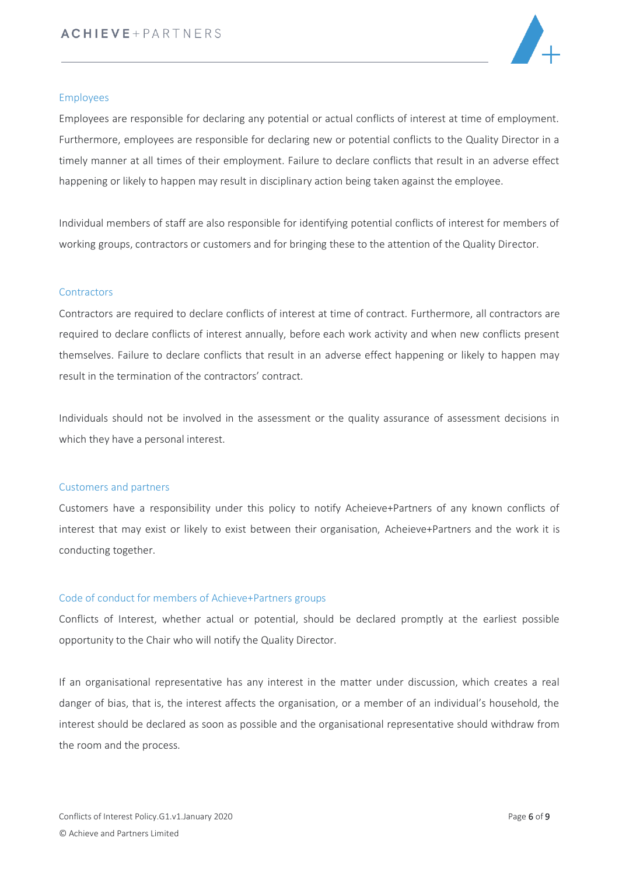

#### Employees

Employees are responsible for declaring any potential or actual conflicts of interest at time of employment. Furthermore, employees are responsible for declaring new or potential conflicts to the Quality Director in a timely manner at all times of their employment. Failure to declare conflicts that result in an adverse effect happening or likely to happen may result in disciplinary action being taken against the employee.

Individual members of staff are also responsible for identifying potential conflicts of interest for members of working groups, contractors or customers and for bringing these to the attention of the Quality Director.

#### **Contractors**

Contractors are required to declare conflicts of interest at time of contract. Furthermore, all contractors are required to declare conflicts of interest annually, before each work activity and when new conflicts present themselves. Failure to declare conflicts that result in an adverse effect happening or likely to happen may result in the termination of the contractors' contract.

Individuals should not be involved in the assessment or the quality assurance of assessment decisions in which they have a personal interest.

#### Customers and partners

Customers have a responsibility under this policy to notify Acheieve+Partners of any known conflicts of interest that may exist or likely to exist between their organisation, Acheieve+Partners and the work it is conducting together.

### Code of conduct for members of Achieve+Partners groups

Conflicts of Interest, whether actual or potential, should be declared promptly at the earliest possible opportunity to the Chair who will notify the Quality Director.

If an organisational representative has any interest in the matter under discussion, which creates a real danger of bias, that is, the interest affects the organisation, or a member of an individual's household, the interest should be declared as soon as possible and the organisational representative should withdraw from the room and the process.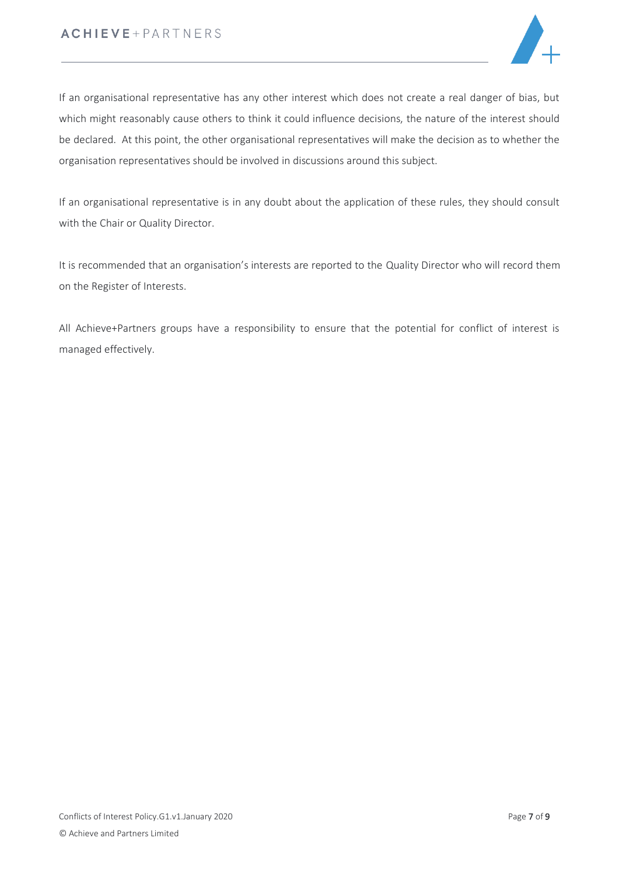

If an organisational representative has any other interest which does not create a real danger of bias, but which might reasonably cause others to think it could influence decisions, the nature of the interest should be declared. At this point, the other organisational representatives will make the decision as to whether the organisation representatives should be involved in discussions around this subject.

If an organisational representative is in any doubt about the application of these rules, they should consult with the Chair or Quality Director.

It is recommended that an organisation's interests are reported to the Quality Director who will record them on the Register of Interests.

All Achieve+Partners groups have a responsibility to ensure that the potential for conflict of interest is managed effectively.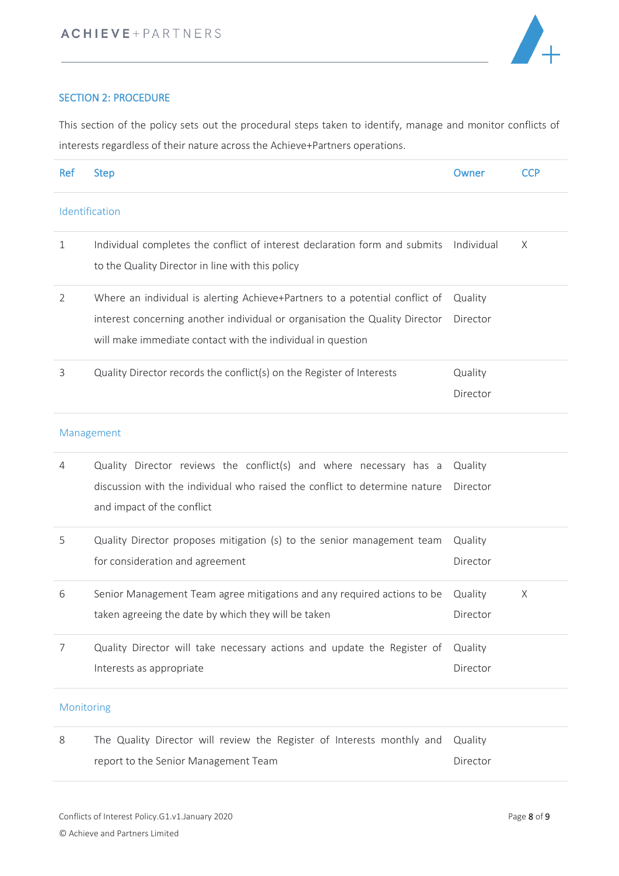

# SECTION 2: PROCEDURE

This section of the policy sets out the procedural steps taken to identify, manage and monitor conflicts of interests regardless of their nature across the Achieve+Partners operations.

| <b>Ref</b>     | <b>Step</b>                                                                                                                                                                                                               | Owner               | <b>CCP</b> |
|----------------|---------------------------------------------------------------------------------------------------------------------------------------------------------------------------------------------------------------------------|---------------------|------------|
| Identification |                                                                                                                                                                                                                           |                     |            |
| $\mathbf 1$    | Individual completes the conflict of interest declaration form and submits<br>to the Quality Director in line with this policy                                                                                            | Individual          | X          |
| $\overline{2}$ | Where an individual is alerting Achieve+Partners to a potential conflict of<br>interest concerning another individual or organisation the Quality Director<br>will make immediate contact with the individual in question | Quality<br>Director |            |
| 3              | Quality Director records the conflict(s) on the Register of Interests                                                                                                                                                     | Quality<br>Director |            |
|                | Management                                                                                                                                                                                                                |                     |            |
| 4              | Quality Director reviews the conflict(s) and where necessary has a<br>discussion with the individual who raised the conflict to determine nature<br>and impact of the conflict                                            | Quality<br>Director |            |
| 5              | Quality Director proposes mitigation (s) to the senior management team<br>for consideration and agreement                                                                                                                 | Quality<br>Director |            |
| 6              | Senior Management Team agree mitigations and any required actions to be<br>taken agreeing the date by which they will be taken                                                                                            | Quality<br>Director | Χ          |
| 7              | Quality Director will take necessary actions and update the Register of<br>Interests as appropriate                                                                                                                       | Quality<br>Director |            |
| Monitoring     |                                                                                                                                                                                                                           |                     |            |
| 8              | The Quality Director will review the Register of Interests monthly and<br>report to the Senior Management Team                                                                                                            | Quality<br>Director |            |